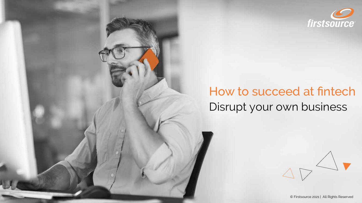

# How to succeed at fintech Disrupt your own business



© Firstsource 2021 | All Rights Reserved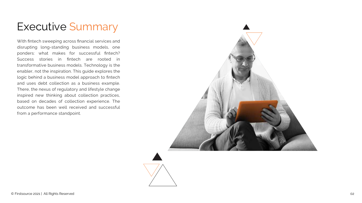## Executive Summary

disrupting long-standing business models, one ponders: what makes for successful fintech? Success stories in fintech are rooted in transformative business models. Technology is the enabler, not the inspiration. This guide explores the logic behind a business model approach to fintech and uses debt collection as a business example. There, the nexus of regulatory and lifestyle change inspired new thinking about collection practices, based on decades of collection experience. The outcome has been well received and successful from a performance standpoint.

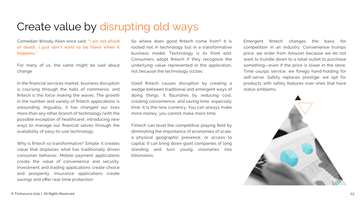### Create value by disrupting old ways

Comedian Woody Allen once said, **"I am not afraid of death. I just don't want to be there when it happens."**

For many of us, the same might be said about change.

In the financial services market, business disruption is coursing through the halls of commerce, and fintech is the force making the waves. The growth in the number and variety of fintech applications is astounding. Arguably, it has changed our lives more than any other branch of technology (with the possible exception of healthcare), introducing new ways to manage our financial selves through the availability of easy-to-use technology.

Why is fintech so transformative? Simple: it creates value that displaces what has traditionally driven consumer behavior. Mobile payment applications create the value of convenience and security. Investment and trading applications create choice and prosperity. Insurance applications create savings and offer real-time protection.

So where does good fintech come from? It is rooted not in technology but in a transformative business model. Technology is its front end. Consumers adopt fintech if they recognize the underlying value represented in the application, not because the technology sizzles.

Good fintech causes disruption by creating a wedge between traditional and emergent ways of doing things. It flourishes by reducing cost, creating convenience, and saving time, especially time. It is the new currency: You can always make more money; you cannot make more time.

Fintech can level the competitive playing field by diminishing the importance of economies of scale, a physical geographic presence, or access to capital. It can bring down giant companies of long standing and turn young visionaries into billionaires.

Emergent fintech changes the basis for competition in an industry. Convenience trumps price: we order from Amazon because we do not want to trundle down to a retail outlet to purchase something—even if the price is lower in the store. Time usurps service: we forego hand-holding for self-serve. Safety replaces prestige: we opt for products with safety features over ones that have status emblems.

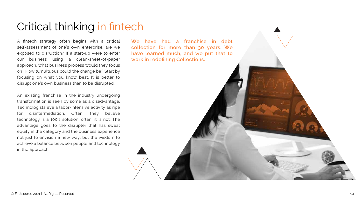#### Critical thinking in fintech

A fintech strategy often begins with a critical self-assessment of one's own enterprise. are we exposed to disruption? If a start-up were to enter our business using a clean-sheet-of-paper approach, what business process would they focus on? How tumultuous could the change be? Start by focusing on what you know best. It is better to disrupt one's own business than to be disrupted.

An existing franchise in the industry undergoing transformation is seen by some as a disadvantage. Technologists eye a labor-intensive activity as ripe for disintermediation. Often, they believe technology is a 100% solution; often, it is not. The advantage goes to the disrupter that has sweat equity in the category and the business experience not just to envision a new way, but the wisdom to achieve a balance between people and technology in the approach.

**We have had a franchise in debt collection for more than 30 years. We have learned much, and we put that to work in redefining Collections.**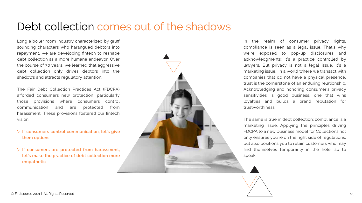### Debt collection comes out of the shadows

Long a boiler room industry characterized by gruff sounding characters who harangued debtors into repayment, we are developing fintech to reshape debt collection as a more humane endeavor. Over the course of 30 years, we learned that aggressive debt collection only drives debtors into the shadows and attracts regulatory attention.

The Fair Debt Collection Practices Act (FDCPA) afforded consumers new protection, particularly those provisions where consumers control communication and are protected from harassment. These provisions fostered our fintech vision:

- **If consumers control communication, let's give them options**
- **If consumers are protected from harassment, let's make the practice of debt collection more empathetic**



In the realm of consumer privacy rights, compliance is seen as a legal issue. That's why we're exposed to pop-up disclosures and acknowledgments: it's a practice controlled by lawyers. But privacy is not a legal issue, it's a marketing issue. In a world where we transact with companies that do not have a physical presence, trust is the cornerstone of an enduring relationship. Acknowledging and honoring consumer's privacy sensitivities is good business, one that wins loyalties and builds a brand reputation for trustworthiness.

The same is true in debt collection: compliance is a marketing issue. Applying the principles driving FDCPA to a new business model for Collections not only ensures you're on the right side of regulations, but also positions you to retain customers who may find themselves temporarily in the hole, so to speak.

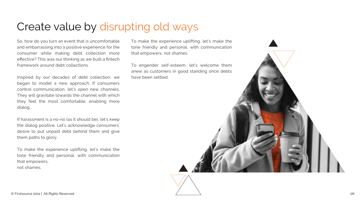## Create value by disrupting old ways

So, how do you turn an event that is uncomfortable and embarrassing into a positive experience for the consumer while making debt collection more effective? This was our thinking as we built a fintech framework around debt collections.

Inspired by our decades of debt collection, we began to model a new approach. If consumers control communication, let's open new channels. They will gravitate towards the channel with which they feel the most comfortable, enabling more dialog.

If harassment is a no-no (as it should be), let's keep the dialog positive. Let's acknowledge consumers' desire to put unpaid debt behind them and give them paths to glory.

To make the experience uplifting, let's make the tone friendly and personal, with communication that empowers, not shames.

To make the experience uplifting, let's make the tone friendly and personal, with communication that empowers, not shames.

To engender self-esteem, let's welcome them anew as customers in good standing once debts have been settled.

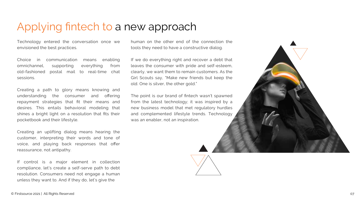### Applying fintech to a new approach

Technology entered the conversation once we envisioned the best practices.

Choice in communication means enabling omnichannel, supporting everything from old-fashioned postal mail to real-time chat sessions.

Creating a path to glory means knowing and understanding the consumer and offering repayment strategies that fit their means and desires. This entails behavioral modeling that shines a bright light on a resolution that fits their pocketbook and their lifestyle.

Creating an uplifting dialog means hearing the customer, interpreting their words and tone of voice, and playing back responses that offer reassurance, not antipathy.

If control is a major element in collection compliance, let's create a self-serve path to debt resolution. Consumers need not engage a human unless they want to. And if they do, let's give the

human on the other end of the connection the tools they need to have a constructive dialog.

If we do everything right and recover a debt that leaves the consumer with pride and self-esteem, clearly, we want them to remain customers. As the Girl Scouts say, "Make new friends but keep the old. One is silver, the other gold."

The point is our brand of fintech wasn't spawned from the latest technology; it was inspired by a new business model that met regulatory hurdles and complemented lifestyle trends. Technology was an enabler, not an inspiration.

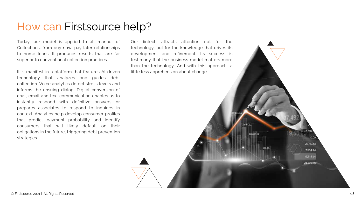#### How can Firstsource help?

Today, our model is applied to all manner of Collections, from buy now, pay later relationships to home loans. It produces results that are far superior to conventional collection practices.

It is manifest in a platform that features AI-driven technology that analyzes and guides debt collection. Voice analytics detect stress levels and informs the ensuing dialog. Digital conversion of chat, email and text communication enables us to instantly respond with definitive answers or prepares associates to respond to inquiries in context. Analytics help develop consumer profiles that predict payment probability and identify consumers that will likely default on their obligations in the future, triggering debt prevention strategies.

Our fintech attracts attention not for the technology, but for the knowledge that drives its development and refinement. Its success is testimony that the business model matters more than the technology. And with this approach, a little less apprehension about change.

26,465.54

26,717.43 7,534.44 12,512.54 28,875.56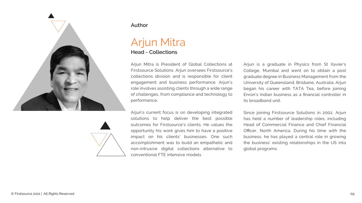

#### **Author**

#### Arjun Mitra **Head - Collections**

Arjun Mitra is President of Global Collections at Firstsource Solutions. Arjun oversees Firstsource's collections division and is responsible for client engagement and business performance. Arjun's role involves assisting clients through a wide range of challenges, from compliance and technology to performance.

Arjun's current focus is on developing integrated

solutions to help deliver the best possible outcomes for Firstsource's clients. He values the opportunity his work gives him to have a positive impact on his clients' businesses. One such accomplishment was to build an empathetic and non-intrusive digital collections alternative to conventional FTE intensive models

Arjun is a graduate in Physics from St Xavier's College, Mumbai and went on to obtain a post graduate degree in Business Management from the University of Queensland, Brisbane, Australia. Arjun began his career with TATA Tea, before joining Enron's Indian business as a financial controller in its broadband unit.

Since joining Firstsource Solutions in 2002, Arjun has held a number of leadership roles, including Head of Commercial Finance and Chief Financial Officer, North America. During his time with the business, he has played a central role in growing the business' existing relationships in the US into global programs.

© Firstsource 2021 | All Rights Reserved 09